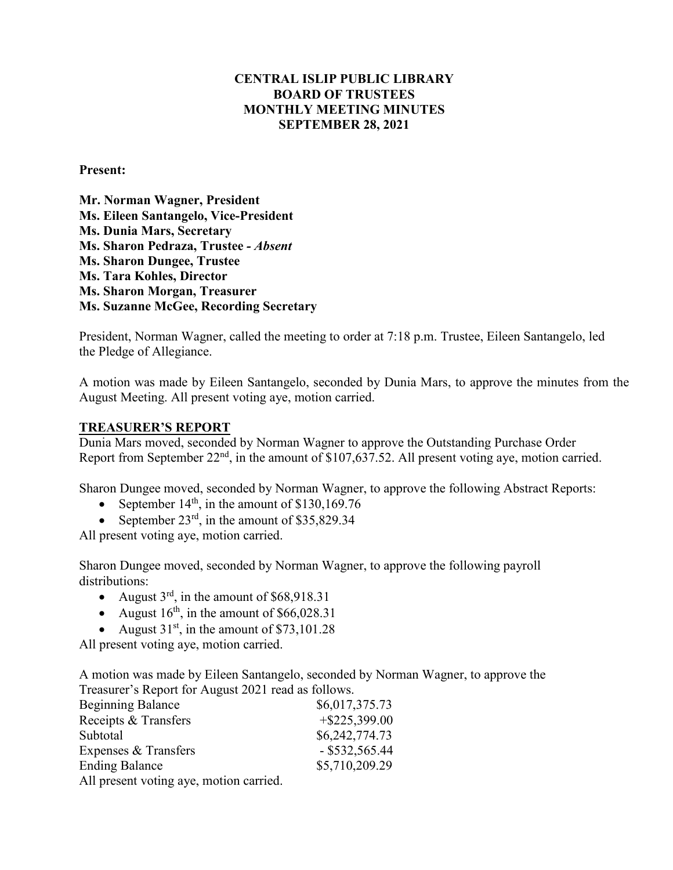### **CENTRAL ISLIP PUBLIC LIBRARY BOARD OF TRUSTEES MONTHLY MEETING MINUTES SEPTEMBER 28, 2021**

#### **Present:**

**Mr. Norman Wagner, President Ms. Eileen Santangelo, Vice-President Ms. Dunia Mars, Secretary Ms. Sharon Pedraza, Trustee** *- Absent*  **Ms. Sharon Dungee, Trustee Ms. Tara Kohles, Director Ms. Sharon Morgan, Treasurer Ms. Suzanne McGee, Recording Secretary**

President, Norman Wagner, called the meeting to order at 7:18 p.m. Trustee, Eileen Santangelo, led the Pledge of Allegiance.

A motion was made by Eileen Santangelo, seconded by Dunia Mars, to approve the minutes from the August Meeting. All present voting aye, motion carried.

#### **TREASURER'S REPORT**

Dunia Mars moved, seconded by Norman Wagner to approve the Outstanding Purchase Order Report from September 22<sup>nd</sup>, in the amount of \$107,637.52. All present voting aye, motion carried.

Sharon Dungee moved, seconded by Norman Wagner, to approve the following Abstract Reports:

- September  $14<sup>th</sup>$ , in the amount of \$130,169.76
- September  $23<sup>rd</sup>$ , in the amount of \$35,829.34

All present voting aye, motion carried.

Sharon Dungee moved, seconded by Norman Wagner, to approve the following payroll distributions:

- August  $3^{rd}$ , in the amount of \$68,918.31
- August  $16<sup>th</sup>$ , in the amount of \$66,028.31
- August  $31<sup>st</sup>$ , in the amount of \$73,101.28

All present voting aye, motion carried.

A motion was made by Eileen Santangelo, seconded by Norman Wagner, to approve the Treasurer's Report for August 2021 read as follows.

| <b>Beginning Balance</b>                | \$6,017,375.73   |
|-----------------------------------------|------------------|
| Receipts & Transfers                    | $+$ \$225,399.00 |
| Subtotal                                | \$6,242,774.73   |
| Expenses & Transfers                    | $-$ \$532,565.44 |
| <b>Ending Balance</b>                   | \$5,710,209.29   |
| All present voting aye, motion carried. |                  |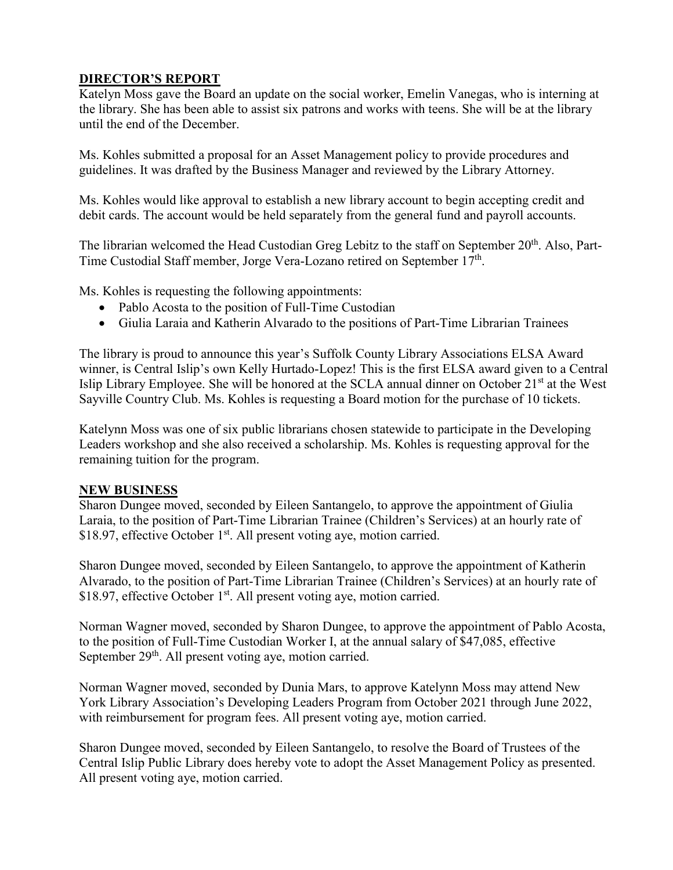# **DIRECTOR'S REPORT**

Katelyn Moss gave the Board an update on the social worker, Emelin Vanegas, who is interning at the library. She has been able to assist six patrons and works with teens. She will be at the library until the end of the December.

Ms. Kohles submitted a proposal for an Asset Management policy to provide procedures and guidelines. It was drafted by the Business Manager and reviewed by the Library Attorney.

Ms. Kohles would like approval to establish a new library account to begin accepting credit and debit cards. The account would be held separately from the general fund and payroll accounts.

The librarian welcomed the Head Custodian Greg Lebitz to the staff on September 20<sup>th</sup>. Also, Part-Time Custodial Staff member, Jorge Vera-Lozano retired on September 17<sup>th</sup>.

Ms. Kohles is requesting the following appointments:

- Pablo Acosta to the position of Full-Time Custodian
- Giulia Laraia and Katherin Alvarado to the positions of Part-Time Librarian Trainees

The library is proud to announce this year's Suffolk County Library Associations ELSA Award winner, is Central Islip's own Kelly Hurtado-Lopez! This is the first ELSA award given to a Central Islip Library Employee. She will be honored at the SCLA annual dinner on October 21st at the West Sayville Country Club. Ms. Kohles is requesting a Board motion for the purchase of 10 tickets.

Katelynn Moss was one of six public librarians chosen statewide to participate in the Developing Leaders workshop and she also received a scholarship. Ms. Kohles is requesting approval for the remaining tuition for the program.

## **NEW BUSINESS**

Sharon Dungee moved, seconded by Eileen Santangelo, to approve the appointment of Giulia Laraia, to the position of Part-Time Librarian Trainee (Children's Services) at an hourly rate of \$18.97, effective October 1<sup>st</sup>. All present voting aye, motion carried.

Sharon Dungee moved, seconded by Eileen Santangelo, to approve the appointment of Katherin Alvarado, to the position of Part-Time Librarian Trainee (Children's Services) at an hourly rate of \$18.97, effective October 1<sup>st</sup>. All present voting aye, motion carried.

Norman Wagner moved, seconded by Sharon Dungee, to approve the appointment of Pablo Acosta, to the position of Full-Time Custodian Worker I, at the annual salary of \$47,085, effective September 29<sup>th</sup>. All present voting aye, motion carried.

Norman Wagner moved, seconded by Dunia Mars, to approve Katelynn Moss may attend New York Library Association's Developing Leaders Program from October 2021 through June 2022, with reimbursement for program fees. All present voting aye, motion carried.

Sharon Dungee moved, seconded by Eileen Santangelo, to resolve the Board of Trustees of the Central Islip Public Library does hereby vote to adopt the Asset Management Policy as presented. All present voting aye, motion carried.